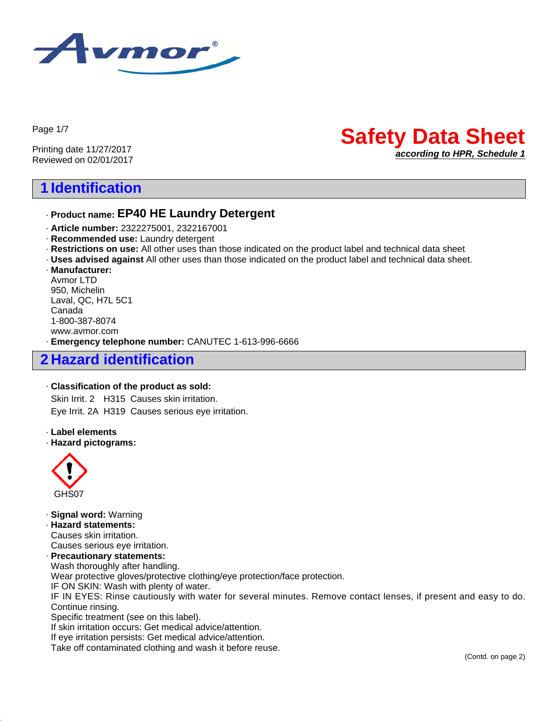

Page 1/7

Printing date 11/27/2017 Reviewed on 02/01/2017

# **1 Identification**

## · **Product name: EP40 HE Laundry Detergent**

- · **Article number:** 2322275001, 2322167001
- · **Recommended use:** Laundry detergent
- · **Restrictions on use:** All other uses than those indicated on the product label and technical data sheet
- · **Uses advised against** All other uses than those indicated on the product label and technical data sheet.
- · **Manufacturer:** Avmor LTD 950, Michelin Laval, QC, H7L 5C1 Canada 1-800-387-8074 www.avmor.com

· **Emergency telephone number:** CANUTEC 1-613-996-6666

# **2 Hazard identification**

#### · **Classification of the product as sold:**

Skin Irrit. 2 H315 Causes skin irritation. Eye Irrit. 2A H319 Causes serious eye irritation.

· **Label elements**

#### · **Hazard pictograms:**



45.1.1

#### · **Signal word:** Warning

· **Hazard statements:** Causes skin irritation. Causes serious eye irritation. · **Precautionary statements:** Wash thoroughly after handling. Wear protective gloves/protective clothing/eye protection/face protection.

IF ON SKIN: Wash with plenty of water.

IF IN EYES: Rinse cautiously with water for several minutes. Remove contact lenses, if present and easy to do. Continue rinsing.

Specific treatment (see on this label).

If skin irritation occurs: Get medical advice/attention.

If eye irritation persists: Get medical advice/attention.

Take off contaminated clothing and wash it before reuse.

**Safety Data Sheet**

*according to HPR, Schedule 1*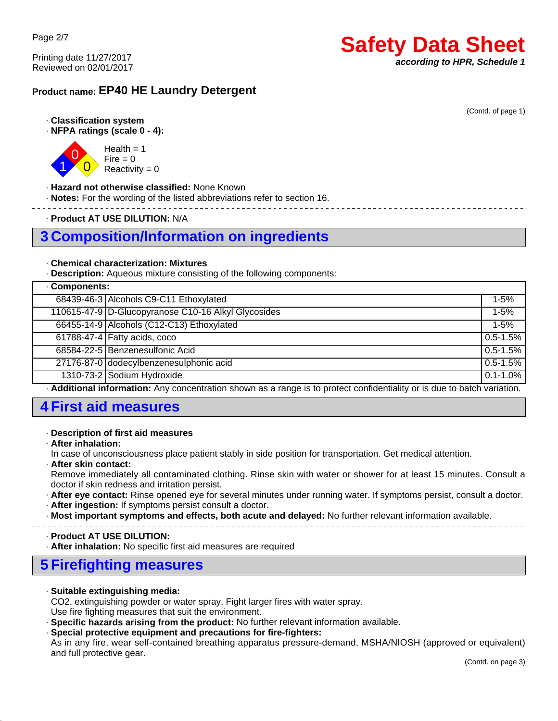## **Product name: EP40 HE Laundry Detergent**

#### · **Classification system**

· **NFPA ratings (scale 0 - 4):**



 $Health = 1$  $Fire = 0$ Reactivity  $= 0$ 

#### · **Hazard not otherwise classified:** None Known

· **Notes:** For the wording of the listed abbreviations refer to section 16.

· **Product AT USE DILUTION:** N/A

## **3 Composition/Information on ingredients**

#### · **Chemical characterization: Mixtures**

· **Description:** Aqueous mixture consisting of the following components:

| Components:                                                                                                            |                                                     |               |  |
|------------------------------------------------------------------------------------------------------------------------|-----------------------------------------------------|---------------|--|
|                                                                                                                        | 68439-46-3 Alcohols C9-C11 Ethoxylated              | $1 - 5%$      |  |
|                                                                                                                        | 110615-47-9 D-Glucopyranose C10-16 Alkyl Glycosides | $1 - 5\%$     |  |
|                                                                                                                        | 66455-14-9 Alcohols (C12-C13) Ethoxylated           | $1 - 5%$      |  |
|                                                                                                                        | 61788-47-4 Fatty acids, coco                        | $0.5 - 1.5%$  |  |
|                                                                                                                        | 68584-22-5 Benzenesulfonic Acid                     | $0.5 - 1.5%$  |  |
|                                                                                                                        | 27176-87-0 dodecylbenzenesulphonic acid             | $0.5 - 1.5%$  |  |
|                                                                                                                        | 1310-73-2 Sodium Hydroxide                          | $0.1 - 1.0\%$ |  |
| Additional information: Any concentration ebourn as a repas is to protect confidentiality or is due to botch variation |                                                     |               |  |

· **Additional information:** Any concentration shown as a range is to protect confidentiality or is due to batch variation.

# **4 First aid measures**

#### · **Description of first aid measures**

· **After inhalation:**

45.1.1

In case of unconsciousness place patient stably in side position for transportation. Get medical attention.

· **After skin contact:**

Remove immediately all contaminated clothing. Rinse skin with water or shower for at least 15 minutes. Consult a doctor if skin redness and irritation persist.

- · **After eye contact:** Rinse opened eye for several minutes under running water. If symptoms persist, consult a doctor.
- · **After ingestion:** If symptoms persist consult a doctor.

· **Most important symptoms and effects, both acute and delayed:** No further relevant information available.

· **Product AT USE DILUTION:**

· **After inhalation:** No specific first aid measures are required

# **5 Firefighting measures**

· **Suitable extinguishing media:**

CO2, extinguishing powder or water spray. Fight larger fires with water spray.

Use fire fighting measures that suit the environment.

- · **Specific hazards arising from the product:** No further relevant information available.
- · **Special protective equipment and precautions for fire-fighters:**

As in any fire, wear self-contained breathing apparatus pressure-demand, MSHA/NIOSH (approved or equivalent) and full protective gear.

# **Safety Data Sheet** *according to HPR, Schedule 1*

(Contd. of page 1)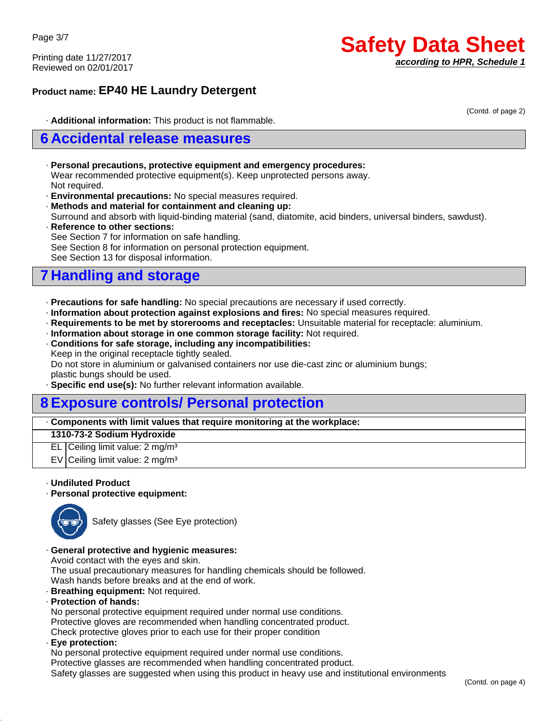## **Product name: EP40 HE Laundry Detergent**

(Contd. of page 2)

· **Additional information:** This product is not flammable.

## **6 Accidental release measures**

- · **Personal precautions, protective equipment and emergency procedures:** Wear recommended protective equipment(s). Keep unprotected persons away. Not required.
- · **Environmental precautions:** No special measures required.
- · **Methods and material for containment and cleaning up:**

Surround and absorb with liquid-binding material (sand, diatomite, acid binders, universal binders, sawdust).

· **Reference to other sections:** See Section 7 for information on safe handling. See Section 8 for information on personal protection equipment. See Section 13 for disposal information.

# **7 Handling and storage**

- · **Precautions for safe handling:** No special precautions are necessary if used correctly.
- · **Information about protection against explosions and fires:** No special measures required.
- · **Requirements to be met by storerooms and receptacles:** Unsuitable material for receptacle: aluminium.
- · **Information about storage in one common storage facility:** Not required.
- · **Conditions for safe storage, including any incompatibilities:**

Keep in the original receptacle tightly sealed.

Do not store in aluminium or galvanised containers nor use die-cast zinc or aluminium bungs; plastic bungs should be used.

· **Specific end use(s):** No further relevant information available.

# **8 Exposure controls/ Personal protection**

#### · **Components with limit values that require monitoring at the workplace:**

#### **1310-73-2 Sodium Hydroxide**

EL Ceiling limit value: 2 mg/m<sup>3</sup>

EV Ceiling limit value:  $2 \text{ mg/m}^3$ 

#### · **Undiluted Product**

· **Personal protective equipment:**



Safety glasses (See Eye protection)

#### · **General protective and hygienic measures:**

Avoid contact with the eyes and skin.

The usual precautionary measures for handling chemicals should be followed. Wash hands before breaks and at the end of work.

- · **Breathing equipment:** Not required.
- · **Protection of hands:**

No personal protective equipment required under normal use conditions. Protective gloves are recommended when handling concentrated product.

- Check protective gloves prior to each use for their proper condition
- · **Eye protection:**

45.1.1

No personal protective equipment required under normal use conditions.

Protective glasses are recommended when handling concentrated product.

Safety glasses are suggested when using this product in heavy use and institutional environments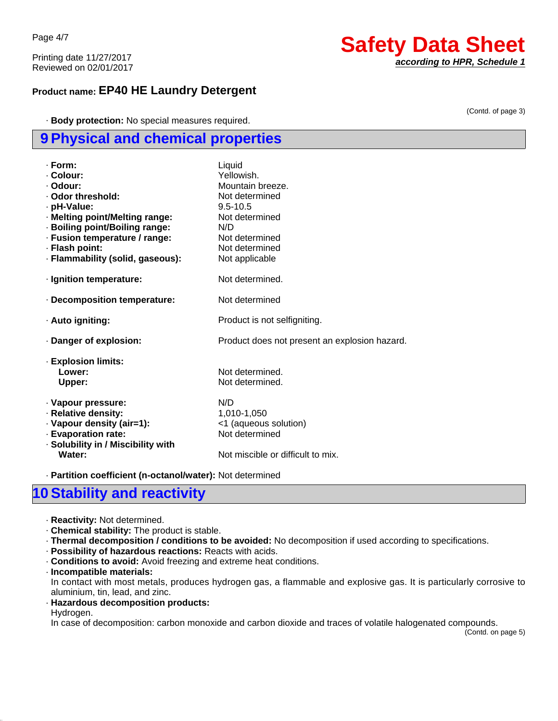Page 4/7

Printing date 11/27/2017 Reviewed on 02/01/2017

## **Product name: EP40 HE Laundry Detergent**

· **Body protection:** No special measures required.

## **9 Physical and chemical properties**

| · Form:<br>· Colour:<br>· Odour:<br>. Odor threshold:<br>· pH-Value:<br>· Melting point/Melting range:<br>· Boiling point/Boiling range:<br>· Fusion temperature / range:<br>· Flash point:<br>· Flammability (solid, gaseous): | Liquid<br>Yellowish<br>Mountain breeze.<br>Not determined<br>$9.5 - 10.5$<br>Not determined<br>N/D<br>Not determined<br>Not determined<br>Not applicable |
|---------------------------------------------------------------------------------------------------------------------------------------------------------------------------------------------------------------------------------|----------------------------------------------------------------------------------------------------------------------------------------------------------|
| · Ignition temperature:                                                                                                                                                                                                         | Not determined.                                                                                                                                          |
| - Decomposition temperature:                                                                                                                                                                                                    | Not determined                                                                                                                                           |
| · Auto igniting:                                                                                                                                                                                                                | Product is not selfigniting.                                                                                                                             |
| Danger of explosion:                                                                                                                                                                                                            | Product does not present an explosion hazard.                                                                                                            |
| - Explosion limits:<br>Lower:<br><b>Upper:</b>                                                                                                                                                                                  | Not determined.<br>Not determined.                                                                                                                       |
| · Vapour pressure:<br>· Relative density:<br>· Vapour density (air=1):<br>· Evaporation rate:<br>· Solubility in / Miscibility with<br>Water:                                                                                   | N/D<br>1,010-1,050<br><1 (aqueous solution)<br>Not determined<br>Not miscible or difficult to mix.                                                       |

· **Partition coefficient (n-octanol/water):** Not determined

# **10 Stability and reactivity**

- · **Reactivity:** Not determined.
- · **Chemical stability:** The product is stable.
- · **Thermal decomposition / conditions to be avoided:** No decomposition if used according to specifications.
- · **Possibility of hazardous reactions:** Reacts with acids.
- · **Conditions to avoid:** Avoid freezing and extreme heat conditions.
- · **Incompatible materials:**

In contact with most metals, produces hydrogen gas, a flammable and explosive gas. It is particularly corrosive to aluminium, tin, lead, and zinc.

· **Hazardous decomposition products:**

Hydrogen.

45.1.1

In case of decomposition: carbon monoxide and carbon dioxide and traces of volatile halogenated compounds.

(Contd. on page 5)

# **Safety Data Sheet**

*according to HPR, Schedule 1*

(Contd. of page 3)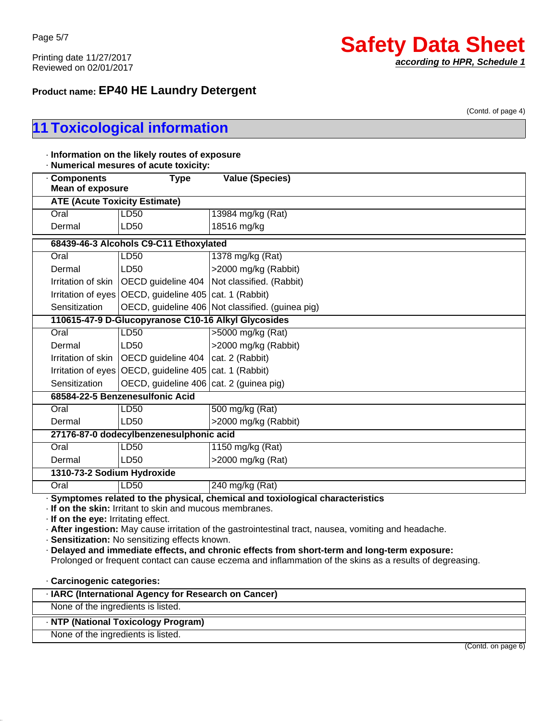# **Safety Data Sheet** *according to HPR, Schedule 1*

## **Product name: EP40 HE Laundry Detergent**

(Contd. of page 4)

# **11 Toxicological information**

| <b>Components</b><br><b>Mean of exposure</b>                      | <b>Type</b>                                                                                              | <b>Value (Species)</b>                                                                                                                                                                                                                                                                                                                                                                              |
|-------------------------------------------------------------------|----------------------------------------------------------------------------------------------------------|-----------------------------------------------------------------------------------------------------------------------------------------------------------------------------------------------------------------------------------------------------------------------------------------------------------------------------------------------------------------------------------------------------|
| <b>ATE (Acute Toxicity Estimate)</b>                              |                                                                                                          |                                                                                                                                                                                                                                                                                                                                                                                                     |
| Oral                                                              | LD50                                                                                                     | 13984 mg/kg (Rat)                                                                                                                                                                                                                                                                                                                                                                                   |
| Dermal                                                            | LD50                                                                                                     | 18516 mg/kg                                                                                                                                                                                                                                                                                                                                                                                         |
|                                                                   | 68439-46-3 Alcohols C9-C11 Ethoxylated                                                                   |                                                                                                                                                                                                                                                                                                                                                                                                     |
| Oral                                                              | LD50                                                                                                     | 1378 mg/kg (Rat)                                                                                                                                                                                                                                                                                                                                                                                    |
| Dermal                                                            | LD50                                                                                                     | >2000 mg/kg (Rabbit)                                                                                                                                                                                                                                                                                                                                                                                |
| Irritation of skin                                                | OECD guideline 404                                                                                       | Not classified. (Rabbit)                                                                                                                                                                                                                                                                                                                                                                            |
|                                                                   | Irritation of eyes OECD, guideline 405 cat. 1 (Rabbit)                                                   |                                                                                                                                                                                                                                                                                                                                                                                                     |
| Sensitization                                                     |                                                                                                          | OECD, guideline 406 Not classified. (guinea pig)                                                                                                                                                                                                                                                                                                                                                    |
|                                                                   | 110615-47-9 D-Glucopyranose C10-16 Alkyl Glycosides                                                      |                                                                                                                                                                                                                                                                                                                                                                                                     |
| Oral                                                              | LD50                                                                                                     | >5000 mg/kg (Rat)                                                                                                                                                                                                                                                                                                                                                                                   |
| Dermal                                                            | LD50                                                                                                     | >2000 mg/kg (Rabbit)                                                                                                                                                                                                                                                                                                                                                                                |
| Irritation of skin                                                | OECD guideline 404                                                                                       | cat. 2 (Rabbit)                                                                                                                                                                                                                                                                                                                                                                                     |
|                                                                   | Irritation of eyes   OECD, guideline 405   cat. 1 (Rabbit)                                               |                                                                                                                                                                                                                                                                                                                                                                                                     |
| Sensitization                                                     | OECD, guideline 406   cat. 2 (guinea pig)                                                                |                                                                                                                                                                                                                                                                                                                                                                                                     |
|                                                                   | 68584-22-5 Benzenesulfonic Acid                                                                          |                                                                                                                                                                                                                                                                                                                                                                                                     |
| Oral                                                              | LD50                                                                                                     | 500 mg/kg (Rat)                                                                                                                                                                                                                                                                                                                                                                                     |
| Dermal                                                            | LD50                                                                                                     | >2000 mg/kg (Rabbit)                                                                                                                                                                                                                                                                                                                                                                                |
|                                                                   | 27176-87-0 dodecylbenzenesulphonic acid                                                                  |                                                                                                                                                                                                                                                                                                                                                                                                     |
| Oral                                                              | LD50                                                                                                     | 1150 mg/kg (Rat)                                                                                                                                                                                                                                                                                                                                                                                    |
| Dermal                                                            | LD50                                                                                                     | >2000 mg/kg (Rat)                                                                                                                                                                                                                                                                                                                                                                                   |
| 1310-73-2 Sodium Hydroxide                                        |                                                                                                          |                                                                                                                                                                                                                                                                                                                                                                                                     |
| Oral                                                              | LD50                                                                                                     | 240 mg/kg (Rat)                                                                                                                                                                                                                                                                                                                                                                                     |
| · If on the eye: Irritating effect.<br>· Carcinogenic categories: | If on the skin: Irritant to skin and mucous membranes.<br>· Sensitization: No sensitizing effects known. | · Symptomes related to the physical, chemical and toxiological characteristics<br>. After ingestion: May cause irritation of the gastrointestinal tract, nausea, vomiting and headache.<br>· Delayed and immediate effects, and chronic effects from short-term and long-term exposure:<br>Prolonged or frequent contact can cause eczema and inflammation of the skins as a results of degreasing. |

## · **NTP (National Toxicology Program)**

None of the ingredients is listed.

45.1.1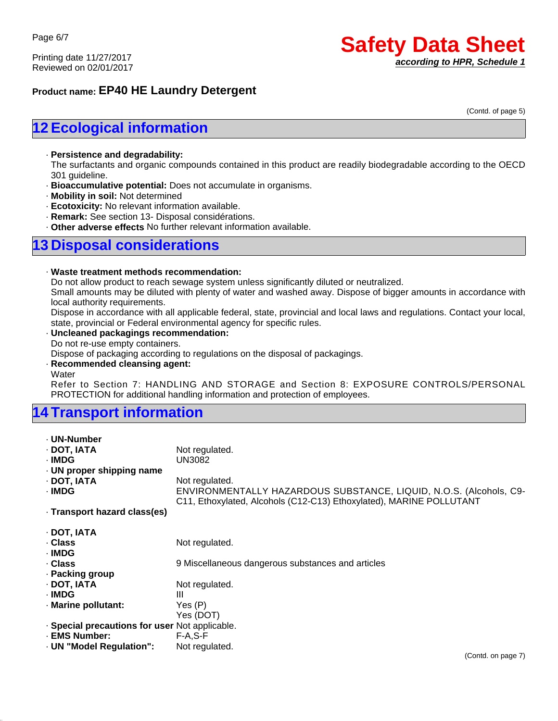## **Product name: EP40 HE Laundry Detergent**

(Contd. of page 5)

# **12 Ecological information**

#### · **Persistence and degradability:**

The surfactants and organic compounds contained in this product are readily biodegradable according to the OECD 301 guideline.

- · **Bioaccumulative potential:** Does not accumulate in organisms.
- · **Mobility in soil:** Not determined
- · **Ecotoxicity:** No relevant information available.
- · **Remark:** See section 13- Disposal considérations.
- · **Other adverse effects** No further relevant information available.

## **13 Disposal considerations**

#### · **Waste treatment methods recommendation:**

Do not allow product to reach sewage system unless significantly diluted or neutralized.

Small amounts may be diluted with plenty of water and washed away. Dispose of bigger amounts in accordance with local authority requirements.

Dispose in accordance with all applicable federal, state, provincial and local laws and regulations. Contact your local, state, provincial or Federal environmental agency for specific rules.

#### · **Uncleaned packagings recommendation:**

Do not re-use empty containers.

Dispose of packaging according to regulations on the disposal of packagings.

· **Recommended cleansing agent:**

Water

45.1.1

Refer to Section 7: HANDLING AND STORAGE and Section 8: EXPOSURE CONTROLS/PERSONAL PROTECTION for additional handling information and protection of employees.

# **14 Transport information**

| - UN-Number                                    |                                                                                                                                           |
|------------------------------------------------|-------------------------------------------------------------------------------------------------------------------------------------------|
| · DOT, IATA                                    | Not regulated.                                                                                                                            |
| · IMDG                                         | UN3082                                                                                                                                    |
| · UN proper shipping name                      |                                                                                                                                           |
| · DOT. IATA                                    | Not regulated.                                                                                                                            |
| · IMDG                                         | ENVIRONMENTALLY HAZARDOUS SUBSTANCE, LIQUID, N.O.S. (Alcohols, C9-<br>C11, Ethoxylated, Alcohols (C12-C13) Ethoxylated), MARINE POLLUTANT |
| · Transport hazard class(es)                   |                                                                                                                                           |
| · DOT, IATA                                    |                                                                                                                                           |
| . Class                                        | Not regulated.                                                                                                                            |
| · IMDG                                         |                                                                                                                                           |
| . Class                                        | 9 Miscellaneous dangerous substances and articles                                                                                         |
| · Packing group                                |                                                                                                                                           |
| · DOT, IATA                                    | Not regulated.                                                                                                                            |
| · IMDG                                         | Ш                                                                                                                                         |
| · Marine pollutant:                            | Yes (P)                                                                                                                                   |
|                                                | Yes (DOT)                                                                                                                                 |
| · Special precautions for user Not applicable. |                                                                                                                                           |
| · EMS Number:                                  | $F-A, S-F$                                                                                                                                |
| · UN "Model Regulation":                       | Not regulated.                                                                                                                            |